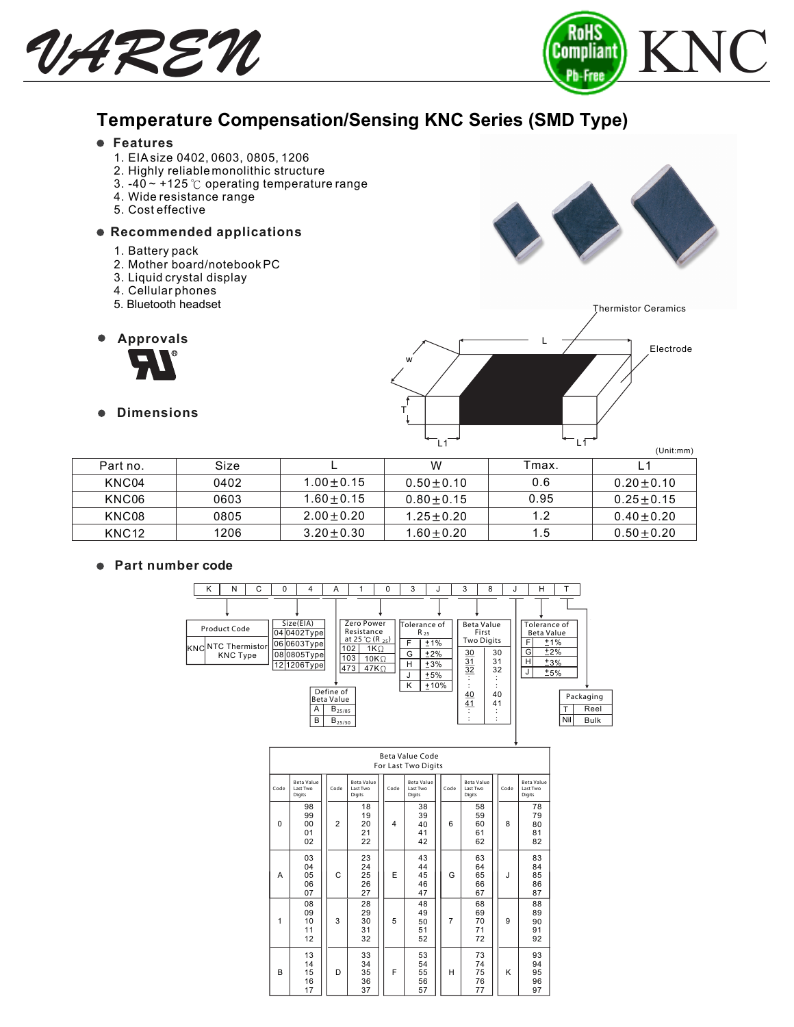



# **Temperature Compensation/Sensing KNC Series (SMD Type)**

#### **Features**

- 1. EIA size 0402, 0603, 0805, 1206
- 2. Highly reliable monolithic structure
- 3. -40  $\sim$  +125  $\degree$  operating temperature range
- 4. Wide resistance range
- 5. Cost effective

#### **Recommended applications**

- 1. Battery pack
- 2. Mother board/notebookPC
- 3. Liquid crystal display
- 4. Cellular phones
- 5. Bluetooth headset



 $\bullet$ 



 **Dimensions**



Thermistor Ceramics



|                   |      |                 |               |       | $($ $\cup$ $\cdots$ $\cdots$ $\cdots$ $\cdots$ $\cdots$ |
|-------------------|------|-----------------|---------------|-------|---------------------------------------------------------|
| Part no.          | Size |                 | W             | Tmax. |                                                         |
| KNC04             | 0402 | $1.00 \pm 0.15$ | $0.50 + 0.10$ | 0.6   | $0.20 \pm 0.10$                                         |
| KNC06             | 0603 | $1.60 + 0.15$   | $0.80 + 0.15$ | 0.95  | $0.25 \pm 0.15$                                         |
| KNC08             | 0805 | $2.00 + 0.20$   | $1.25 + 0.20$ | 1.2   | $0.40 + 0.20$                                           |
| KNC <sub>12</sub> | 1206 | $3.20 \pm 0.30$ | $1.60 + 0.20$ | 1.5   | $0.50 + 0.20$                                           |

#### **Part number code**



|      | <b>Beta Value Code</b><br>For Last Two Digits |                |                                         |  |      |                                         |                |                                         |      |                                         |
|------|-----------------------------------------------|----------------|-----------------------------------------|--|------|-----------------------------------------|----------------|-----------------------------------------|------|-----------------------------------------|
| Code | <b>Beta Value</b><br>Last Two<br>Digits       | Code           | <b>Beta Value</b><br>Last Two<br>Digits |  | Code | <b>Beta Value</b><br>Last Two<br>Digits | Code           | <b>Beta Value</b><br>Last Two<br>Digits | Code | <b>Beta Value</b><br>Last Two<br>Digits |
| 0    | 98<br>99<br>00<br>01<br>02                    | $\overline{2}$ | 18<br>19<br>20<br>21<br>22              |  | 4    | 38<br>39<br>40<br>41<br>42              | 6              | 58<br>59<br>60<br>61<br>62              | 8    | 78<br>79<br>80<br>81<br>82              |
| A    | 03<br>04<br>05<br>06<br>07                    | C              | 23<br>24<br>25<br>26<br>27              |  | E    | 43<br>44<br>45<br>46<br>47              | G              | 63<br>64<br>65<br>66<br>67              | J    | 83<br>84<br>85<br>86<br>87              |
| 1    | 08<br>09<br>10<br>11<br>12                    | 3              | 28<br>29<br>30<br>31<br>32              |  | 5    | 48<br>49<br>50<br>51<br>52              | $\overline{7}$ | 68<br>69<br>70<br>71<br>72              | 9    | 88<br>89<br>90<br>91<br>92              |
| B    | 13<br>14<br>15<br>16<br>17                    | D              | 33<br>34<br>35<br>36<br>37              |  | F    | 53<br>54<br>55<br>56<br>57              | Н              | 73<br>74<br>75<br>76<br>77              | Κ    | 93<br>94<br>95<br>96<br>97              |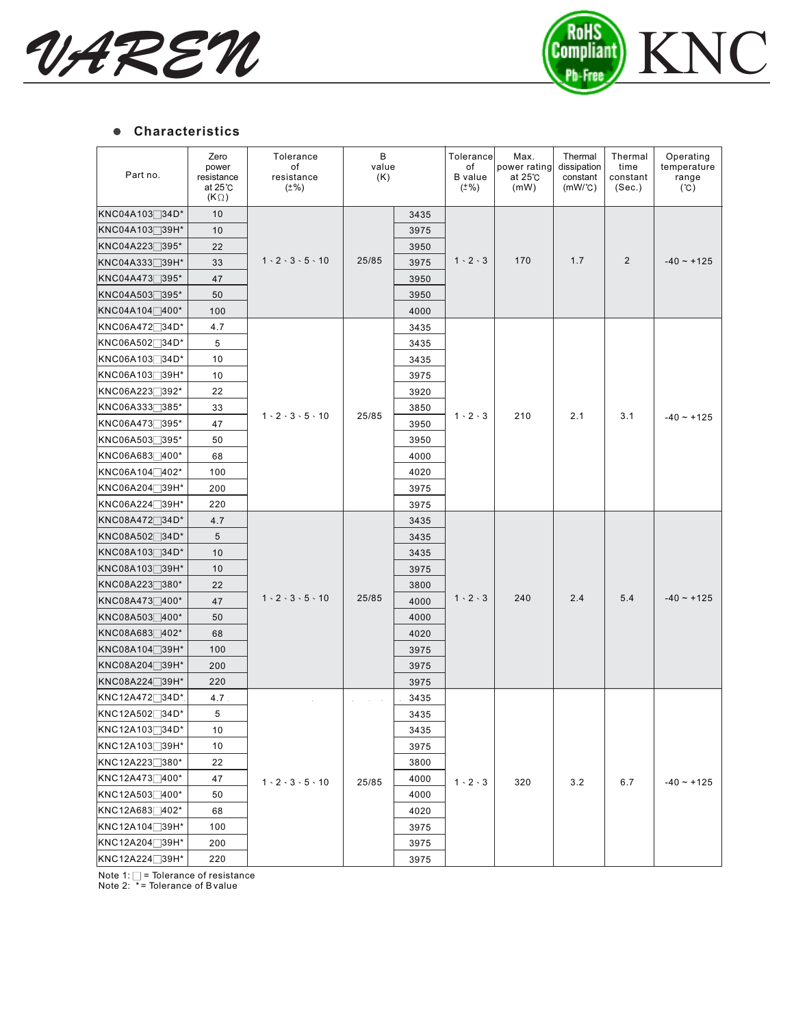



#### **Characteristics**

| Part no.                    | Zero<br>power<br>resistance<br>at $25^\circ$ C<br>$(K \Omega)$ | Tolerance<br>of<br>resistance<br>$(\pm\%)$ | В<br>value<br>(K) |      | Tolerance<br>of<br><b>B</b> value<br>$(±\%)$ | Max.<br>power rating<br>at $25^\circ$ C<br>(mW) | Thermal<br>dissipation<br>constant<br>$(mW^{\circ}C)$ | Thermal<br>time<br>constant<br>(Sec.) | Operating<br>temperature<br>range<br>(C) |
|-----------------------------|----------------------------------------------------------------|--------------------------------------------|-------------------|------|----------------------------------------------|-------------------------------------------------|-------------------------------------------------------|---------------------------------------|------------------------------------------|
| KNC04A103 <sup>34D*</sup>   | 10                                                             |                                            |                   | 3435 |                                              |                                                 |                                                       |                                       |                                          |
| KNC04A103 <sup>39H*</sup>   | 10                                                             |                                            |                   | 3975 |                                              |                                                 |                                                       |                                       |                                          |
| KNC04A223 395*              | 22                                                             |                                            |                   | 3950 | $1 \cdot 2 \cdot 3$                          | 170                                             |                                                       | 2                                     |                                          |
| KNC04A333 <sup>39H*</sup>   | 33                                                             | $1 \cdot 2 \cdot 3 \cdot 5 \cdot 10$       | 25/85             | 3975 |                                              |                                                 | 1.7                                                   |                                       | $-40 - +125$                             |
| KNC04A4733395*              | 47                                                             |                                            |                   | 3950 |                                              |                                                 |                                                       |                                       |                                          |
| KNC04A503395*               | 50                                                             |                                            |                   | 3950 |                                              |                                                 |                                                       |                                       |                                          |
| KNC04A104□400*              | 100                                                            |                                            |                   | 4000 |                                              |                                                 |                                                       |                                       |                                          |
| KNC06A47234D*               | 4.7                                                            |                                            |                   | 3435 |                                              |                                                 |                                                       |                                       |                                          |
| KNC06A502 <sup>34D*</sup>   | 5                                                              |                                            |                   | 3435 |                                              |                                                 |                                                       |                                       |                                          |
| KNC06A103 <sup>34D*</sup>   | 10                                                             |                                            |                   | 3435 |                                              |                                                 |                                                       |                                       |                                          |
| KNC06A10339H*               | 10                                                             |                                            |                   | 3975 |                                              |                                                 |                                                       |                                       |                                          |
| KNC06A2233392*              | 22                                                             |                                            |                   | 3920 |                                              |                                                 |                                                       |                                       |                                          |
| KNC06A333335*               | 33                                                             |                                            |                   | 3850 |                                              |                                                 |                                                       |                                       | $-40 - +125$                             |
| KNC06A4733395*              | 47                                                             | $1 \cdot 2 \cdot 3 \cdot 5 \cdot 10$       | 25/85             | 3950 | $1 \cdot 2 \cdot 3$                          | 210                                             | 2.1                                                   | 3.1                                   |                                          |
| KNC06A503395*               | 50                                                             |                                            |                   | 3950 |                                              |                                                 |                                                       |                                       |                                          |
| KNC06A683400*               | 68                                                             |                                            |                   | 4000 |                                              |                                                 |                                                       |                                       |                                          |
| KNC06A104 <sup>1</sup> 402* | 100                                                            |                                            |                   | 4020 |                                              |                                                 |                                                       |                                       |                                          |
| KNC06A204 <sup>39H*</sup>   | 200                                                            |                                            |                   | 3975 |                                              |                                                 |                                                       |                                       |                                          |
| KNC06A224 <sup>39H*</sup>   | 220                                                            |                                            |                   | 3975 |                                              |                                                 |                                                       |                                       |                                          |
| KNC08A47234D*               | 4.7                                                            |                                            |                   | 3435 |                                              |                                                 |                                                       |                                       |                                          |
| KNC08A502□34D*              | 5                                                              |                                            |                   | 3435 |                                              |                                                 |                                                       |                                       |                                          |
| KNC08A10334D*               | 10                                                             |                                            |                   | 3435 |                                              |                                                 | 2.4                                                   |                                       |                                          |
| KNC08A103 <sup>39H*</sup>   | 10                                                             |                                            |                   | 3975 |                                              |                                                 |                                                       |                                       |                                          |
| KNC08A2233380*              | 22                                                             |                                            |                   | 3800 |                                              |                                                 |                                                       |                                       |                                          |
| KNC08A473400*               | 47                                                             | $1 \cdot 2 \cdot 3 \cdot 5 \cdot 10$       | 25/85             | 4000 | $1 \cdot 2 \cdot 3$                          | 240                                             |                                                       | 5.4                                   | $-40 - +125$                             |
| KNC08A503400*               | 50                                                             |                                            |                   | 4000 |                                              |                                                 |                                                       |                                       |                                          |
| KNC08A683402*               | 68                                                             |                                            |                   | 4020 |                                              |                                                 |                                                       |                                       |                                          |
| KNC08A104 <sup>39H*</sup>   | 100                                                            |                                            |                   | 3975 |                                              |                                                 |                                                       |                                       |                                          |
| KNC08A204 <sup>39H*</sup>   | 200                                                            |                                            |                   | 3975 |                                              |                                                 |                                                       |                                       |                                          |
| KNC08A224 <sup>39H*</sup>   | 220                                                            |                                            |                   | 3975 |                                              |                                                 |                                                       |                                       |                                          |
| KNC12A472 <sup>34D*</sup>   | $4.7$ .                                                        |                                            |                   | 3435 |                                              |                                                 |                                                       |                                       |                                          |
| KNC12A502 <sub>34D</sub> *  | 5                                                              |                                            |                   | 3435 |                                              |                                                 |                                                       |                                       |                                          |
| KNC12A103 <sup>34D*</sup>   | $10$                                                           |                                            |                   | 3435 |                                              |                                                 |                                                       |                                       |                                          |
| KNC12A103⊟39H*              | 10                                                             | $1 \cdot 2 \cdot 3 \cdot 5 \cdot 10$       |                   | 3975 |                                              |                                                 |                                                       |                                       |                                          |
| KNC12A2233380*              | 22                                                             |                                            |                   | 3800 |                                              |                                                 |                                                       |                                       |                                          |
| KNC12A4737400*              | 47                                                             |                                            | 25/85             | 4000 | $1 \cdot 2 \cdot 3$                          | 320                                             | 3.2                                                   | 6.7                                   | $-40 - +125$                             |
| KNC12A503400*               | 50                                                             |                                            |                   | 4000 |                                              |                                                 |                                                       |                                       |                                          |
| KNC12A683402*               | 68                                                             |                                            |                   | 4020 |                                              |                                                 |                                                       |                                       |                                          |
| KNC12A104□39H*              | 100                                                            |                                            |                   | 3975 |                                              |                                                 |                                                       |                                       |                                          |
| KNC12A204 39H*              | 200                                                            |                                            |                   | 3975 |                                              |                                                 |                                                       |                                       |                                          |
| KNC12A224 <sup>739H*</sup>  | 220                                                            |                                            |                   | 3975 |                                              |                                                 |                                                       |                                       |                                          |

Note 1:  $\Box$  = Tolerance of resistance<br>Note 2: \*= Tolerance of Bvalue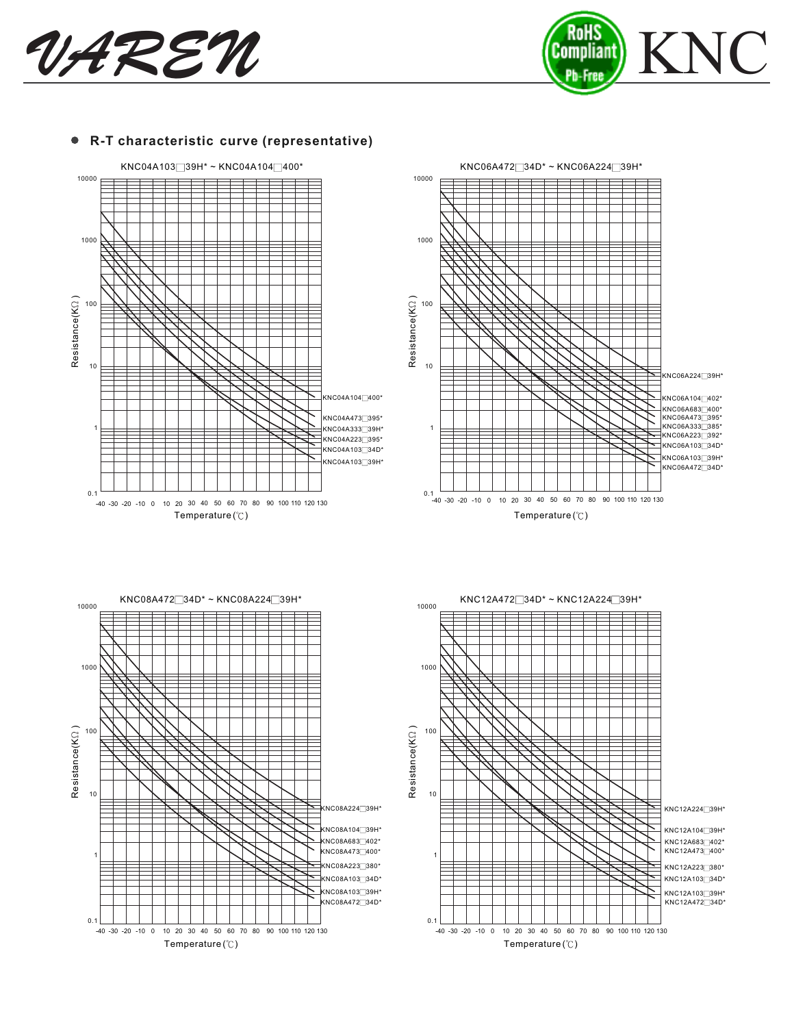



#### **R-T characteristic curve (representative)**







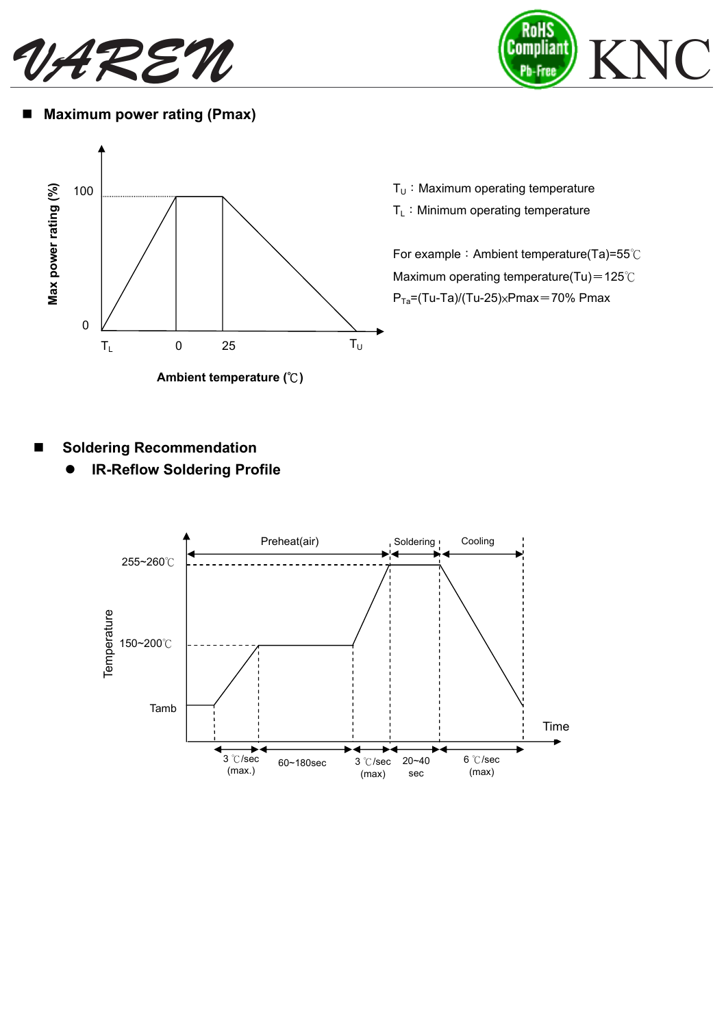



**Maximum power rating (Pmax)** 



- $T_U:$  Maximum operating temperature
- $T_L$ : Minimum operating temperature

For example: Ambient temperature(Ta)=55℃ Maximum operating temperature(Tu)=125℃  $P_{Ta}=(Tu-Ta)/(Tu-25)xPmax=70% Pmax$ 



**IR-Reflow Soldering Profile** 

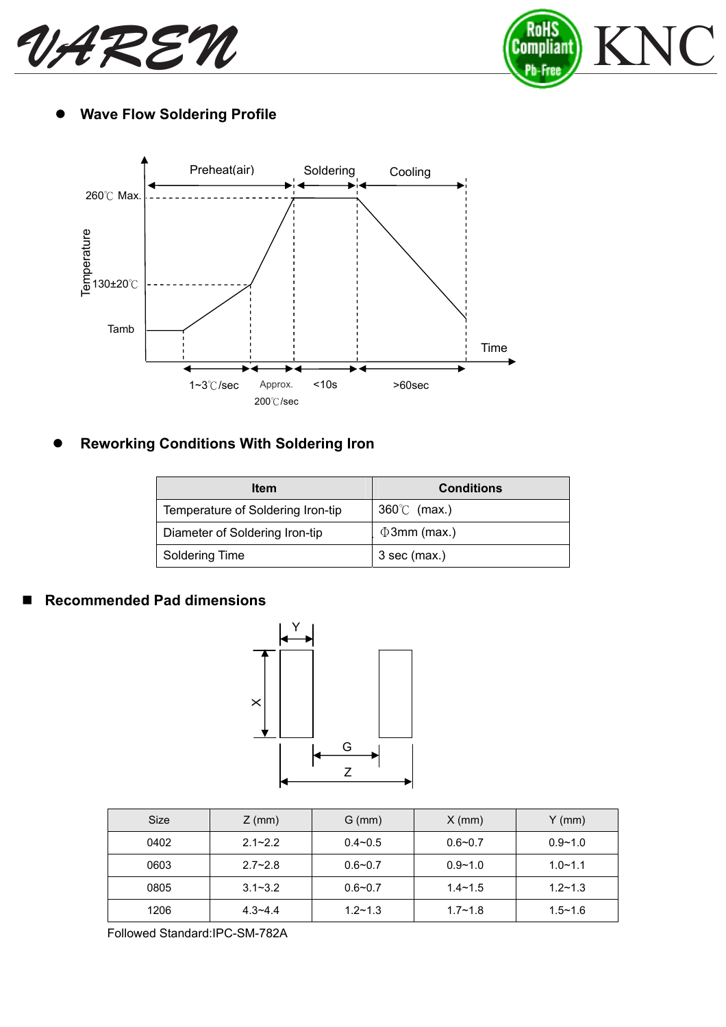



**Wave Flow Soldering Profile** 



# **Reworking Conditions With Soldering Iron**

| <b>Item</b>                       | <b>Conditions</b>    |
|-----------------------------------|----------------------|
| Temperature of Soldering Iron-tip | $360^{\circ}$ (max.) |
| Diameter of Soldering Iron-tip    | $\Phi$ 3mm (max.)    |
| <b>Soldering Time</b>             | 3 sec (max.)         |

#### ■ Recommended Pad dimensions



| <b>Size</b> | $Z$ (mm)    | $G$ (mm)    | $X$ (mm)    | $Y$ (mm)    |
|-------------|-------------|-------------|-------------|-------------|
| 0402        | $2.1 - 2.2$ | $0.4 - 0.5$ | $0.6 - 0.7$ | $0.9 - 1.0$ |
| 0603        | $2.7 - 2.8$ | $0.6 - 0.7$ | $0.9 - 1.0$ | $1.0 - 1.1$ |
| 0805        | $3.1 - 3.2$ | $0.6 - 0.7$ | $1.4 - 1.5$ | $1.2 - 1.3$ |
| 1206        | $4.3 - 4.4$ | $1.2 - 1.3$ | $1.7 - 1.8$ | $1.5 - 1.6$ |

Followed Standard:IPC-SM-782A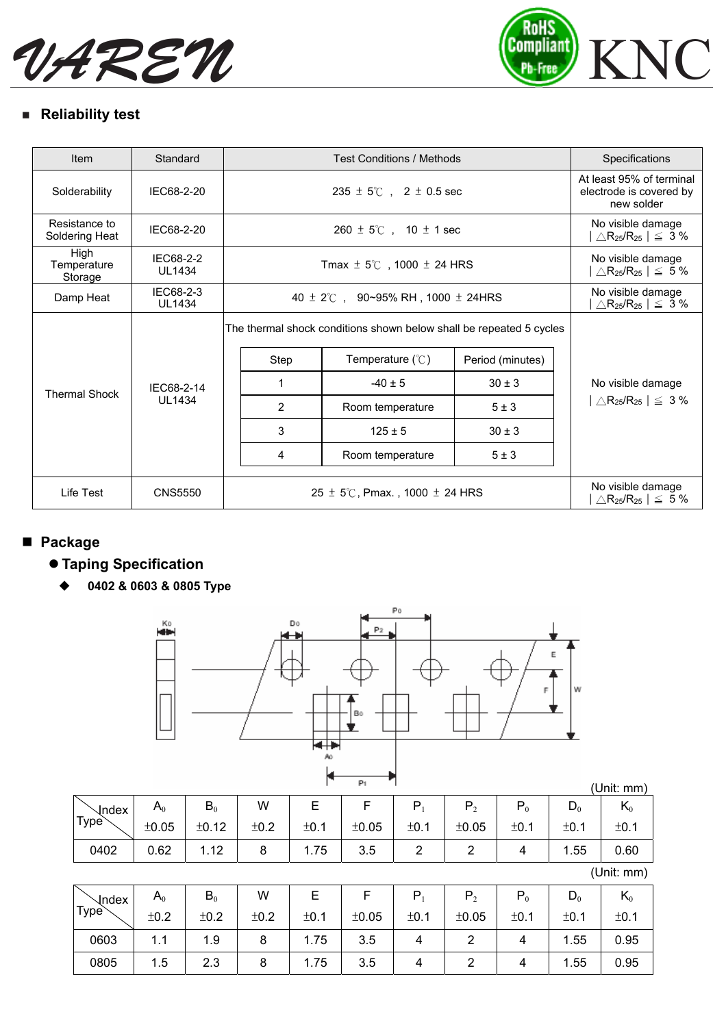



### **Reliability test**

| Item                            | Standard                   |                                                                     | <b>Test Conditions / Methods</b>                                               |                                                                                | Specifications                                                                 |  |  |  |                                                                   |  |  |  |
|---------------------------------|----------------------------|---------------------------------------------------------------------|--------------------------------------------------------------------------------|--------------------------------------------------------------------------------|--------------------------------------------------------------------------------|--|--|--|-------------------------------------------------------------------|--|--|--|
| Solderability                   | IEC68-2-20                 |                                                                     | $235 \pm 5^{\circ}$ , 2 $\pm$ 0.5 sec                                          |                                                                                |                                                                                |  |  |  | At least 95% of terminal<br>electrode is covered by<br>new solder |  |  |  |
| Resistance to<br>Soldering Heat | IEC68-2-20                 | $260 \pm 5^{\circ}$ ( $10 \pm 1$ sec                                |                                                                                | No visible damage<br>$\triangle$ R <sub>25</sub> /R <sub>25</sub>   $\leq 3\%$ |                                                                                |  |  |  |                                                                   |  |  |  |
| High<br>Temperature<br>Storage  | IEC68-2-2<br><b>UL1434</b> |                                                                     | Tmax $\pm$ 5°C, 1000 $\pm$ 24 HRS                                              |                                                                                | No visible damage<br>$\triangle$ R <sub>25</sub> /R <sub>25</sub>   $\leq 5\%$ |  |  |  |                                                                   |  |  |  |
| Damp Heat                       | IEC68-2-3<br><b>UL1434</b> |                                                                     | 40 $\pm$ 2°C, 90~95% RH, 1000 $\pm$ 24HRS                                      |                                                                                | No visible damage<br>$\triangle$ R <sub>25</sub> /R <sub>25</sub>   $\leq 3\%$ |  |  |  |                                                                   |  |  |  |
|                                 |                            | The thermal shock conditions shown below shall be repeated 5 cycles |                                                                                |                                                                                |                                                                                |  |  |  |                                                                   |  |  |  |
|                                 |                            | Step                                                                | Temperature $(\mathcal{C})$                                                    | Period (minutes)                                                               |                                                                                |  |  |  |                                                                   |  |  |  |
| <b>Thermal Shock</b>            | IEC68-2-14                 |                                                                     | $-40 + 5$                                                                      | $30 \pm 3$                                                                     | No visible damage                                                              |  |  |  |                                                                   |  |  |  |
|                                 | <b>UL1434</b>              | 2                                                                   | Room temperature                                                               | 5±3                                                                            | $\triangle$ R <sub>25</sub> /R <sub>25</sub>   $\leq 3\%$                      |  |  |  |                                                                   |  |  |  |
|                                 |                            | 3                                                                   | $125 \pm 5$                                                                    | $30 \pm 3$                                                                     |                                                                                |  |  |  |                                                                   |  |  |  |
|                                 |                            | 4                                                                   |                                                                                |                                                                                |                                                                                |  |  |  |                                                                   |  |  |  |
| Life Test                       | <b>CNS5550</b>             | 25 $\pm$ 5°C, Pmax., 1000 $\pm$ 24 HRS                              | No visible damage<br>$\triangle$ R <sub>25</sub> /R <sub>25</sub>   $\leq 5\%$ |                                                                                |                                                                                |  |  |  |                                                                   |  |  |  |

# **Package**

- $\bullet$  **Taping Specification** 
	- **0402 & 0603 & 0805 Type**



|                   |       |       |      |           | P <sub>1</sub> |           |       |       |           | (Unit: mm)     |
|-------------------|-------|-------|------|-----------|----------------|-----------|-------|-------|-----------|----------------|
| √ndex             | $A_0$ | $B_0$ | W    | ⊢<br>┕    |                | Ρ         |       | $P_0$ | $D_0$     | $\mathbf{p}_0$ |
| Type <sup>7</sup> | ±0.05 | ±0.12 | ±0.2 | ±0.1      | ±0.05          | $\pm 0.1$ | ±0.05 | ±0.1  | $\pm 0.1$ | ±0.1           |
| 0402              | 0.62  | 1.12  |      | 1.75<br>4 | 3.5            |           |       |       | 1.55      | 0.60           |

(Unit: mm)

| $\operatorname{\mathsf{\hspace{1pt}\mathsf{M}}}$ ndex | $A_0$     | $B_0$ | W    |      |       | P.   | P     | $P_0$ | $\mathsf{D}_0$ | r\() |
|-------------------------------------------------------|-----------|-------|------|------|-------|------|-------|-------|----------------|------|
| <b>Type</b>                                           | ±0.2      | ±0.2  | ±0.2 | ±0.1 | ±0.05 | ±0.1 | ±0.05 | ±0.1  | ±0.1           | ±0.1 |
| 0603                                                  | 11<br>. . | 1.9   | 8    | 1.75 | 3.5   | 4    |       |       | 1.55           | 0.95 |
| 0805                                                  | 1.5       | 2.3   | 8    | 1.75 | 3.5   |      |       |       | 1.55           | 0.95 |